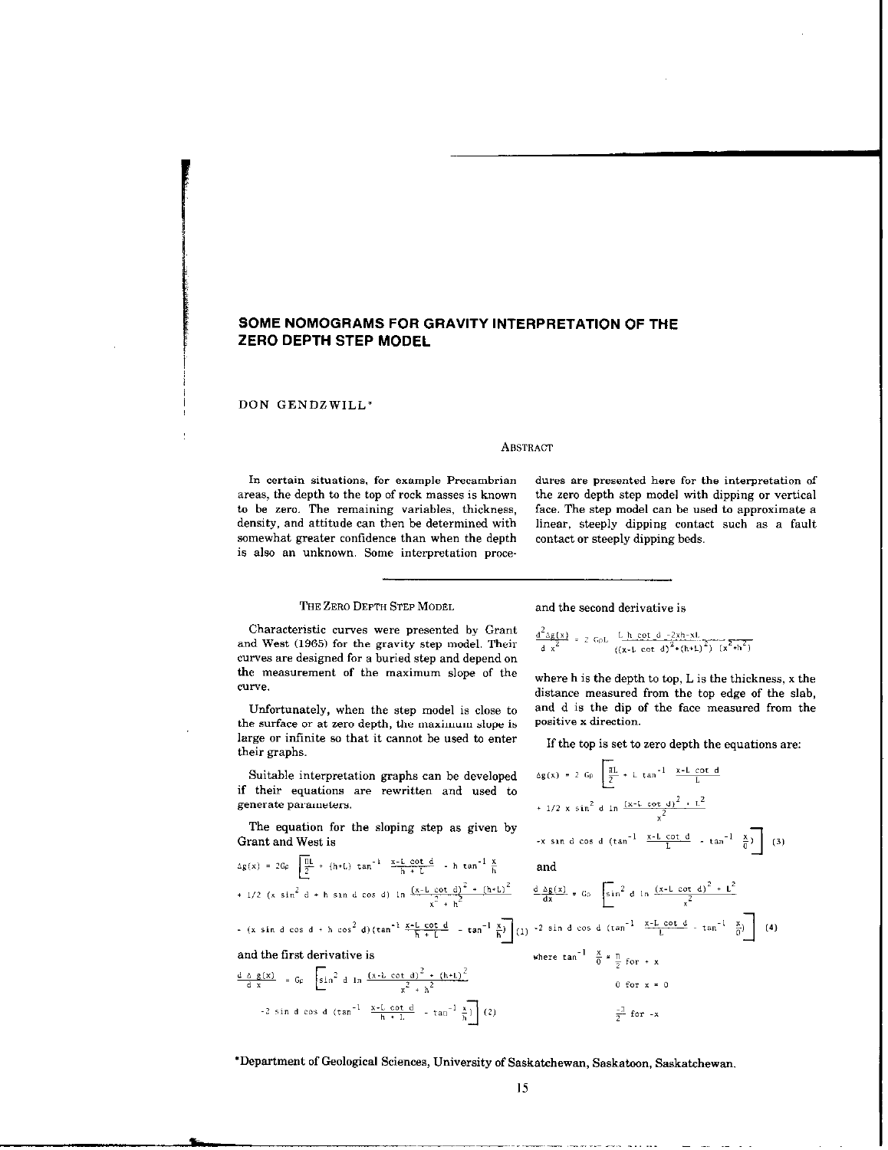# SOME NOMOGRAMS FOR GRAVITY INTERPRETATION OF THE ZERO DEPTH STEP MODEL

DON GENDZWILL'

#### **ABSTRACT**

somewhat greater confidence than when the depth contact or steeply dipping beds. is also an unknown. Some interpretation proce-

In certain situations. for example Precambrian dures are presented here for the interpretation of areas, the depth to the top of rack masses is known the zero depth step model with dipping or vertical to be zero. The remaining variables, thickness, face. The step model can be used to approximate a density, and attitude can then be determined with linear, steeply dipping contact such as a fault linear, steeply dipping contact such as a fault

## THE ZERO DEPTH STEP MODEL

Characteristic curves were presented by Grant and West (1965) for the gravity step model. Their curves are designed for a buried step and depend on the measurement of the maximum slope of the CUrYe.

Unfortunately, when the step model is close to the surface or at zero depth, the maximum slope is large or infinite so that it cannot be used to enter their graphs.

Suitable interpretation graphs can be developed if their equations are rewritten and used to generate parameters.

The equation for the sloping step as given by Grant and West is

$$
\Delta g(x) = 2G\rho \frac{\frac{m}{2}}{2} + (h + L) \tan^{-1} \frac{x - L \cot \alpha}{h + L} - h \tan^{-1} \frac{\pi}{h}
$$
  
+ 1/2 (x sin<sup>2</sup> d + h sin d cos d) ln  $\frac{(x - L \cot d)^2 + (h + L)^2}{x^2 + h^2}$ 

$$
(x \sin d \cos d + h \cos^{2} d) (\tan^{1} \frac{x-L \cot d}{h + L} - \tan^{1} \frac{x}{h})
$$
 (1)

 $\equiv$ 

t

and the first derivative is<br>  $\frac{d \Delta g(x)}{dx} = G \rho \left[ \sin^2 d \ln \frac{(x - L \cot d)^2 + (h + L)^2}{x^2 + h^2} \right]$ <br>  $-2 \sin d \cos d (\tan^{-1} \frac{x - L \cot d}{h + L} - \tan^{-1} \frac{x}{h})$  (2)

and the second derivative is

$$
\frac{d^2 \Delta g(x)}{d x^2} = 2 G \rho L \frac{L h \cot d - 2x h - xL}{((x - L \cot d)^2 + (h + L)^2)} \frac{1}{(x^2 + h^2)}
$$

where  $h$  is the depth to top,  $L$  is the thickness,  $x$  the distance measured from the top edge of the slab, and d is the dip of the face measured from the positive x direction.

If the top is set to zero depth the equations are:

$$
\Delta g(x) = 2 G_{0} \left[ \frac{\pi L}{2} + L \tan^{-1} \frac{x - L \cot d}{L} + \frac{1}{2} \tan^{-1} \frac{x - L \cot d}{L} + \frac{1}{2} \tan^{-2} \frac{x - L \cot d}{L} \frac{x^2}{2} + \frac{1}{2} \tan^{-1} \frac{x}{2} \right]
$$
  
\n
$$
= 2 \sin d \cos d (\tan^{-1} \frac{x - L \cot d}{L} - \tan^{-1} \frac{x}{2}) \sin d \cos d (\tan^{-1} \frac{x - L \cot d}{2} - \tan^{-1} \frac{x}{2})
$$
  
\n
$$
= 2 \sin d \cos d (\tan^{-1} \frac{x - L \cot d}{L} - \tan^{-1} \frac{x}{2})
$$
  
\nwhere  $\tan^{-1} \frac{x}{0} = \frac{\pi}{2}$  for + x  
\n
$$
= 0 \tan^{-1} \frac{x - L \cot d}{L} - \tan^{-1} \frac{x}{2}
$$
  
\n
$$
= \frac{\pi}{2}
$$
 for -x

'Department of Geological Sciences, University of Saskatchewan, Saskatoon, Saskatchewan.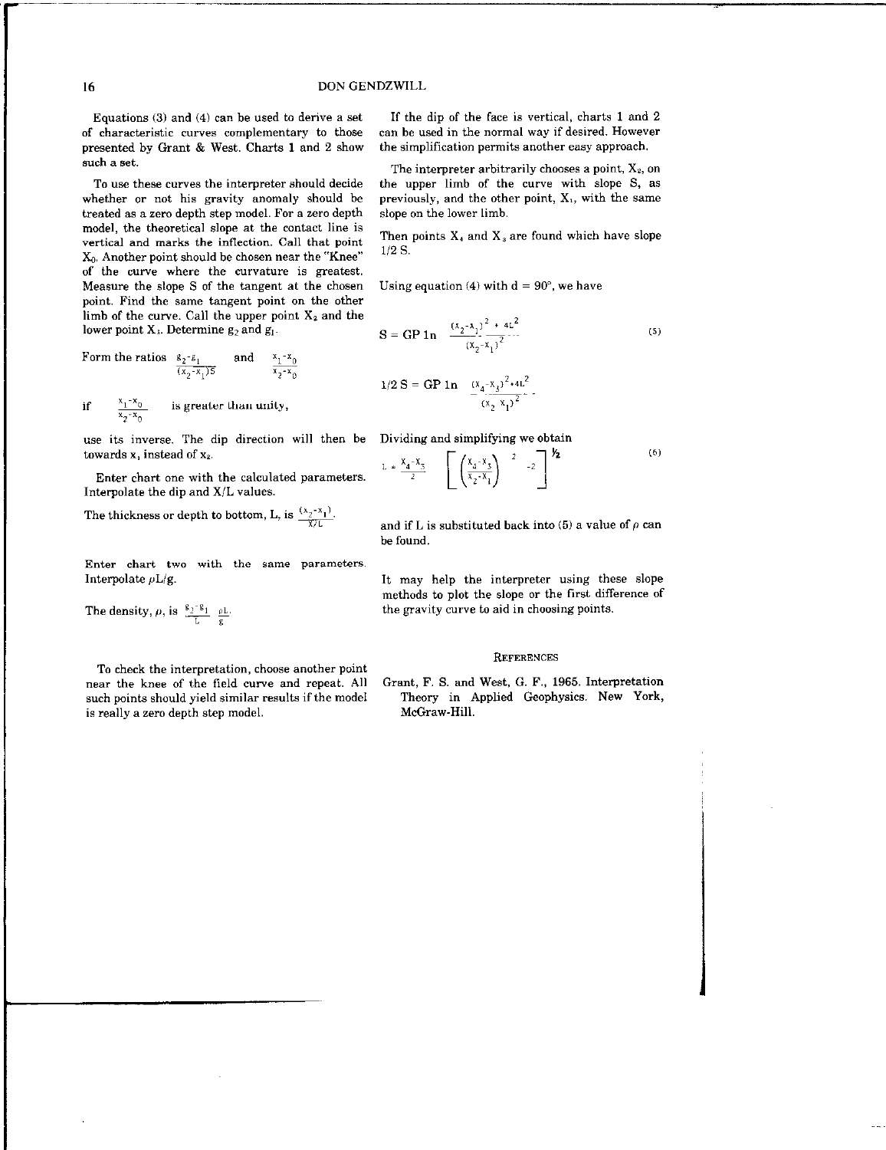### 16 DON GENDZWILL

Equations (3) and (4) can be used to derive a set of characteristic curves complementary to those presented by Grant & West. Charts I and 2 show such a set.

Ta use these curves the interpreter should decide whether or not his gravity anomaly should be treated as a zero depth step model. For a zero depth model, the theoretical slope at the contact line is vertical and marks the inflection. Call that point &, Another point should be chosen near the "Knee" of the curve where the curvature is greatest. Measure the slope S of the tangent at the chosen point. Find the same tangent point on the other limb of the curve. Call the upper point  $X_2$  and the lower point  $X_1$ . Determine  $g_2$  and  $g_1$ .

Form the ratios 
$$
\frac{g_2 - g_1}{(x_2 - x_1)5}
$$
 and  $\frac{x_1 - x_1}{x_2 - x_1}$ 

if  $\frac{x_1 - x_0}{x_1 - x_0}$  is greater than unity,  $x_2 - x_0$ 

use its inverse. The dip direction will then be Dividing and simplifying we obtain towards  $x_1$  instead of  $x_2$ .

Enter chart one with the calculated parameters. Interpolate the dip and X/L values.

The thickness or depth to bottom, L, is  $\frac{(x_2 - x_1)}{x/L}$ .

Enter chart two with the same parameters.

The density,  $\rho$ , is  $\frac{g_2 - g_1}{L} \frac{\rho L}{g}$ .

To check the interpretation, choose another point near the knee of the field curve and repeat. All Grant, F. S. and West, G. F., 1965. Interpretation is really a zero depth step model. McGraw-Hill.

If the dip of the face is vertical, charts I and 2 can he used in the normal way if desired. However the simplification permits another easy approach.

The interpreter arbitrarily chooses a point,  $X_2$ , on the upper limb of the curve with slope S, as previously, and the other point, X,, with the same slope on the lower limb.

Then points  $X_4$  and  $X_3$  are found which have slope  $1/2$  S.

Using equation (4) with  $d = 90^\circ$ , we have

$$
S = GP 1n \quad \frac{(x_2 - x_1)^2 + 4L^2}{(x_2 - x_1)^2}
$$
 (5)

$$
1/2 S = GP 1n \quad \frac{(x_4 - x_3)^2 + 4L^2}{(x_2 - x_1)^2} \ .
$$

$$
L = \frac{x_4 - x_5}{2} \quad \left[ \left( \frac{x_4 - x_5}{x_2 - x_1} \right)^{-2} \right]^{-2} \quad (6)
$$

and if L is substituted back into (5) a value of  $\rho$  can be found.

Interpolate  $pL/g$ . It may help the interpreter using these slope methods to plot the slope or the first difference of the gravity curve to aid in choosing points.

#### **REFERENCES**

such paints should yield similar results if the model Theory in Applied Geophysics. New York,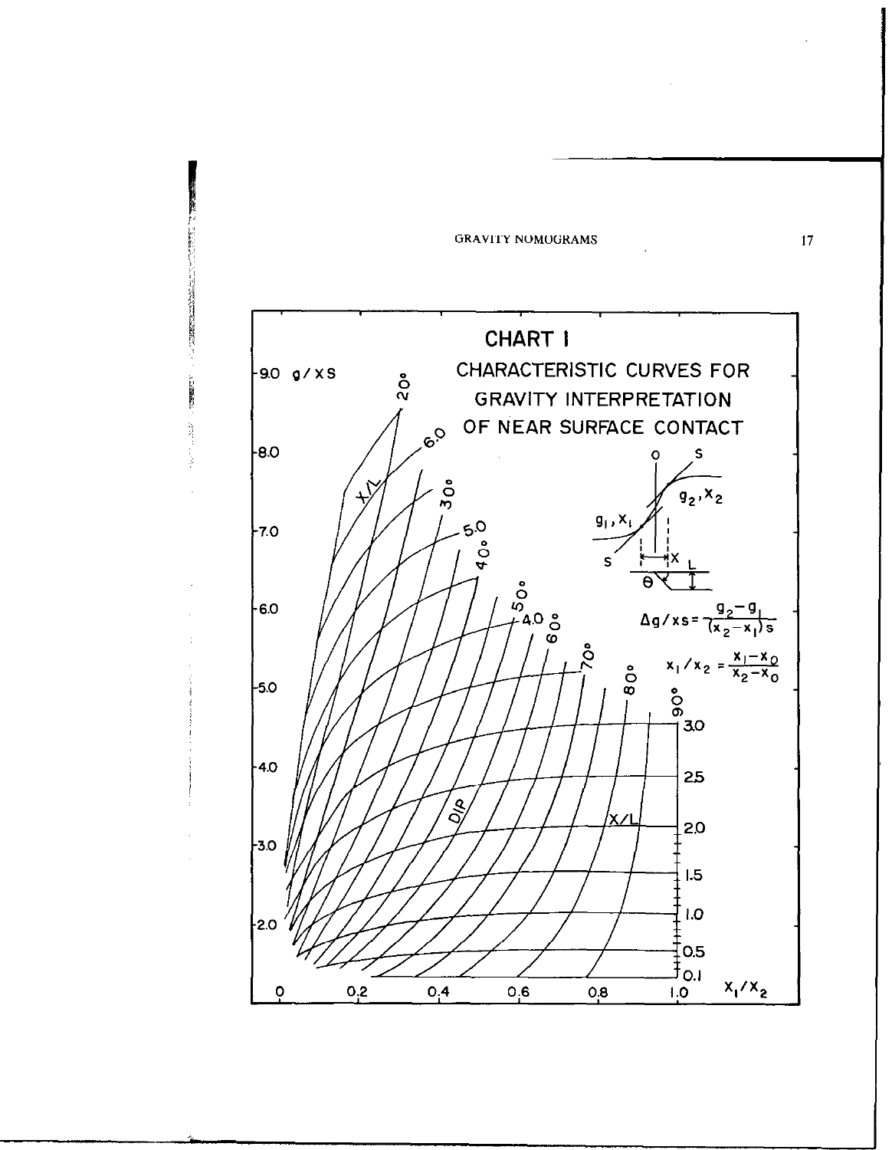

**の時間の こうきょうしょ**